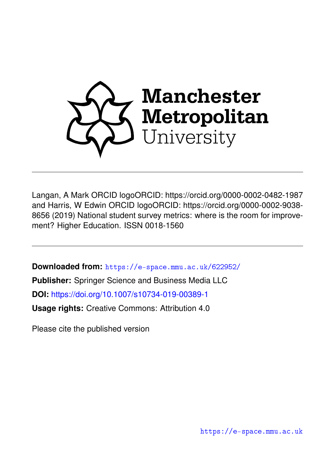

Langan, A Mark ORCID logoORCID: https://orcid.org/0000-0002-0482-1987 and Harris, W Edwin ORCID logoORCID: https://orcid.org/0000-0002-9038- 8656 (2019) National student survey metrics: where is the room for improvement? Higher Education. ISSN 0018-1560

**Downloaded from:** <https://e-space.mmu.ac.uk/622952/>

**Publisher:** Springer Science and Business Media LLC

**DOI:** <https://doi.org/10.1007/s10734-019-00389-1>

**Usage rights:** Creative Commons: Attribution 4.0

Please cite the published version

<https://e-space.mmu.ac.uk>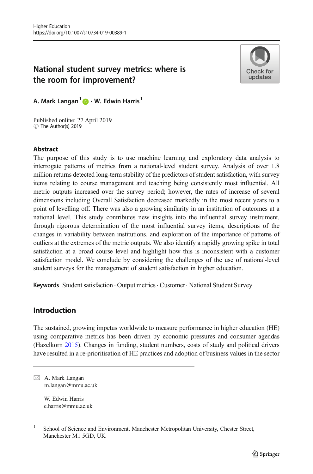# National student survey metrics: where is the room for improvement?



A. Mark Langan<sup>1</sup>  $\mathbf{D} \cdot \mathbf{W}$ . Edwin Harris<sup>1</sup>

Published online: 27 April 2019 C The Author(s) 2019

# **Abstract**

The purpose of this study is to use machine learning and exploratory data analysis to interrogate patterns of metrics from a national-level student survey. Analysis of over 1.8 million returns detected long-term stability of the predictors of student satisfaction, with survey items relating to course management and teaching being consistently most influential. All metric outputs increased over the survey period; however, the rates of increase of several dimensions including Overall Satisfaction decreased markedly in the most recent years to a point of levelling off. There was also a growing similarity in an institution of outcomes at a national level. This study contributes new insights into the influential survey instrument, through rigorous determination of the most influential survey items, descriptions of the changes in variability between institutions, and exploration of the importance of patterns of outliers at the extremes of the metric outputs. We also identify a rapidly growing spike in total satisfaction at a broad course level and highlight how this is inconsistent with a customer satisfaction model. We conclude by considering the challenges of the use of national-level student surveys for the management of student satisfaction in higher education.

Keywords Student satisfaction . Output metrics. Customer. National Student Survey

# Introduction

The sustained, growing impetus worldwide to measure performance in higher education (HE) using comparative metrics has been driven by economic pressures and consumer agendas (Hazelkorn [2015](#page-14-0)). Changes in funding, student numbers, costs of study and political drivers have resulted in a re-prioritisation of HE practices and adoption of business values in the sector

 $\boxtimes$  A. Mark Langan [m.langan@mmu.ac.uk](mailto:m.langan@mmu.ac.uk)

> W. Edwin Harris e.harris@mmu.ac.uk

<sup>&</sup>lt;sup>1</sup> School of Science and Environment, Manchester Metropolitan University, Chester Street, Manchester M1 5GD, UK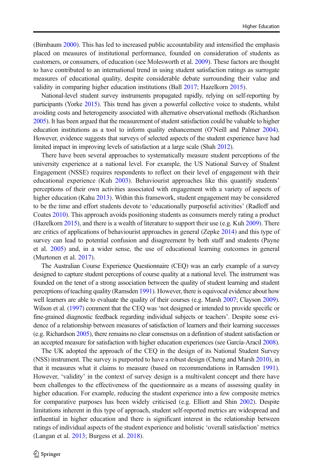(Birnbaum [2000](#page-13-0)). This has led to increased public accountability and intensified the emphasis placed on measures of institutional performance, founded on consideration of students as customers, or consumers, of education (see Molesworth et al. [2009](#page-14-0)). These factors are thought to have contributed to an international trend in using student satisfaction ratings as surrogate measures of educational quality, despite considerable debate surrounding their value and validity in comparing higher education institutions (Ball [2017;](#page-13-0) Hazelkorn [2015](#page-14-0)).

National-level student survey instruments propagated rapidly, relying on self-reporting by participants (Yorke [2015\)](#page-15-0). This trend has given a powerful collective voice to students, whilst avoiding costs and heterogeneity associated with alternative observational methods (Richardson [2005\)](#page-15-0). It has been argued that the measurement of student satisfaction could be valuable to higher education institutions as a tool to inform quality enhancement (O'Neill and Palmer [2004](#page-15-0)). However, evidence suggests that surveys of selected aspects of the student experience have had limited impact in improving levels of satisfaction at a large scale (Shah [2012](#page-15-0)).

There have been several approaches to systematically measure student perceptions of the university experience at a national level. For example, the US National Survey of Student Engagement (NSSE) requires respondents to reflect on their level of engagement with their educational experience (Kuh [2003\)](#page-14-0). Behaviourist approaches like this quantify students' perceptions of their own activities associated with engagement with a variety of aspects of higher education (Kahu [2013\)](#page-14-0). Within this framework, student engagement may be considered to be the time and effort students devote to 'educationally purposeful activities' (Radloff and Coates [2010](#page-15-0)). This approach avoids positioning students as consumers merely rating a product (Hazelkorn [2015\)](#page-14-0), and there is a wealth of literature to support their use (e.g. Kuh [2009\)](#page-14-0). There are critics of applications of behaviourist approaches in general (Zepke [2014](#page-15-0)) and this type of survey can lead to potential confusion and disagreement by both staff and students (Payne et al. [2005\)](#page-15-0) and, in a wider sense, the use of educational learning outcomes in general (Murtonen et al. [2017](#page-15-0)).

The Australian Course Experience Questionnaire (CEQ) was an early example of a survey designed to capture student perceptions of course quality at a national level. The instrument was founded on the tenet of a strong association between the quality of student learning and student perceptions of teaching quality (Ramsden [1991\)](#page-15-0). However, there is equivocal evidence about how well learners are able to evaluate the quality of their courses (e.g. Marsh [2007;](#page-14-0) Clayson [2009](#page-13-0)). Wilson et al. [\(1997](#page-15-0)) comment that the CEQ was 'not designed or intended to provide specific or fine-grained diagnostic feedback regarding individual subjects or teachers'. Despite some evidence of a relationship between measures of satisfaction of learners and their learning successes (e.g. Richardson [2005\)](#page-15-0), there remains no clear consensus on a definition of student satisfaction or an accepted measure for satisfaction with higher education experiences (see García-Aracil [2008](#page-14-0)).

The UK adopted the approach of the CEQ in the design of its National Student Survey (NSS) instrument. The survey is purported to have a robust design (Cheng and Marsh [2010](#page-13-0)), in that it measures what it claims to measure (based on recommendations in Ramsden [1991](#page-15-0)). However, 'validity' in the context of survey design is a multivalent concept and there have been challenges to the effectiveness of the questionnaire as a means of assessing quality in higher education. For example, reducing the student experience into a few composite metrics for comparative purposes has been widely criticised (e.g. Elliott and Shin [2002](#page-13-0)). Despite limitations inherent in this type of approach, student self-reported metrics are widespread and influential in higher education and there is significant interest in the relationship between ratings of individual aspects of the student experience and holistic 'overall satisfaction' metrics (Langan et al. [2013;](#page-14-0) Burgess et al. [2018\)](#page-13-0).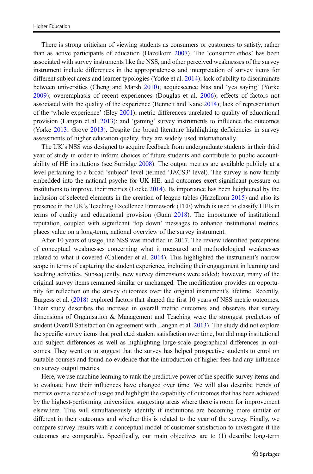There is strong criticism of viewing students as consumers or customers to satisfy, rather than as active participants of education (Hazelkorn [2007\)](#page-14-0). The 'consumer ethos' has been associated with survey instruments like the NSS, and other perceived weaknesses of the survey instrument include differences in the appropriateness and interpretation of survey items for different subject areas and learner typologies (Yorke et al. [2014\)](#page-15-0); lack of ability to discriminate between universities (Cheng and Marsh [2010\)](#page-13-0); acquiescence bias and 'yea saying' (Yorke [2009\)](#page-15-0); overemphasis of recent experiences (Douglas et al. [2006](#page-13-0)); effects of factors not associated with the quality of the experience (Bennett and Kane [2014\)](#page-13-0); lack of representation of the 'whole experience' (Eley [2001\)](#page-13-0); metric differences unrelated to quality of educational provision (Langan et al. [2013](#page-14-0)); and 'gaming' survey instruments to influence the outcomes (Yorke [2013](#page-15-0); Grove [2013](#page-14-0)). Despite the broad literature highlighting deficiencies in survey assessments of higher education quality, they are widely used internationally.

The UK's NSS was designed to acquire feedback from undergraduate students in their third year of study in order to inform choices of future students and contribute to public accountability of HE institutions (see Surridge [2008\)](#page-15-0). The output metrics are available publicly at a level pertaining to a broad 'subject' level (termed 'JACS3' level). The survey is now firmly embedded into the national psyche for UK HE, and outcomes exert significant pressure on institutions to improve their metrics (Locke [2014](#page-14-0)). Its importance has been heightened by the inclusion of selected elements in the creation of league tables (Hazelkorn [2015\)](#page-14-0) and also its presence in the UK's Teaching Excellence Framework (TEF) which is used to classify HEIs in terms of quality and educational provision (Gunn [2018](#page-14-0)). The importance of institutional reputation, coupled with significant 'top down' messages to enhance institutional metrics, places value on a long-term, national overview of the survey instrument.

After 10 years of usage, the NSS was modified in 2017. The review identified perceptions of conceptual weaknesses concerning what it measured and methodological weaknesses related to what it covered (Callender et al. [2014](#page-13-0)). This highlighted the instrument's narrow scope in terms of capturing the student experience, including their engagement in learning and teaching activities. Subsequently, new survey dimensions were added; however, many of the original survey items remained similar or unchanged. The modification provides an opportunity for reflection on the survey outcomes over the original instrument's lifetime. Recently, Burgess et al. ([2018](#page-13-0)) explored factors that shaped the first 10 years of NSS metric outcomes. Their study describes the increase in overall metric outcomes and observes that survey dimensions of Organisation & Management and Teaching were the strongest predictors of student Overall Satisfaction (in agreement with Langan et al. [2013](#page-14-0)). The study did not explore the specific survey items that predicted student satisfaction over time, but did map institutional and subject differences as well as highlighting large-scale geographical differences in outcomes. They went on to suggest that the survey has helped prospective students to enrol on suitable courses and found no evidence that the introduction of higher fees had any influence on survey output metrics.

Here, we use machine learning to rank the predictive power of the specific survey items and to evaluate how their influences have changed over time. We will also describe trends of metrics over a decade of usage and highlight the capability of outcomes that has been achieved by the highest-performing universities, suggesting areas where there is room for improvement elsewhere. This will simultaneously identify if institutions are becoming more similar or different in their outcomes and whether this is related to the year of the survey. Finally, we compare survey results with a conceptual model of customer satisfaction to investigate if the outcomes are comparable. Specifically, our main objectives are to (1) describe long-term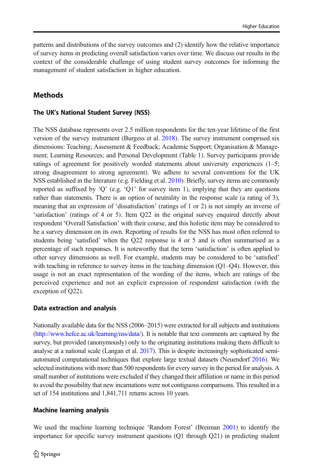patterns and distributions of the survey outcomes and (2) identify how the relative importance of survey items in predicting overall satisfaction varies over time. We discuss our results in the context of the considerable challenge of using student survey outcomes for informing the management of student satisfaction in higher education.

# **Methods**

### The UK's National Student Survey (NSS)

The NSS database represents over 2.5 million respondents for the ten-year lifetime of the first version of the survey instrument (Burgess et al. [2018\)](#page-13-0). The survey instrument comprised six dimensions: Teaching; Assessment & Feedback; Academic Support; Organisation & Management; Learning Resources; and Personal Development (Table [1](#page-5-0)). Survey participants provide ratings of agreement for positively worded statements about university experiences (1–5; strong disagreement to strong agreement). We adhere to several conventions for the UK NSS established in the literature (e.g. Fielding et al. [2010\)](#page-14-0). Briefly, survey items are commonly reported as suffixed by 'Q' (e.g. 'Q1' for survey item 1), implying that they are questions rather than statements. There is an option of neutrality in the response scale (a rating of 3), meaning that an expression of 'dissatisfaction' (ratings of 1 or 2) is not simply an inverse of 'satisfaction' (ratings of 4 or 5). Item Q22 in the original survey enquired directly about respondent 'Overall Satisfaction' with their course, and this holistic item may be considered to be a survey dimension on its own. Reporting of results for the NSS has most often referred to students being 'satisfied' when the Q22 response is 4 or 5 and is often summarised as a percentage of such responses. It is noteworthy that the term 'satisfaction' is often applied to other survey dimensions as well. For example, students may be considered to be 'satisfied' with teaching in reference to survey items in the teaching dimension (Q1–Q4). However, this usage is not an exact representation of the wording of the items, which are ratings of the perceived experience and not an explicit expression of respondent satisfaction (with the exception of Q22).

# Data extraction and analysis

Nationally available data for the NSS (2006–2015) were extracted for all subjects and institutions ([http://www.hefce.ac.uk/learning/nss/data/\)](http://www.hefce.ac.uk/learning/nss/data/). It is notable that text comments are captured by the survey, but provided (anonymously) only to the originating institutions making them difficult to analyse at a national scale (Langan et al. [2017\)](#page-14-0). This is despite increasingly sophisticated semiautomated computational techniques that explore large textual datasets (Neuendorf [2016](#page-15-0)). We selected institutions with more than 500 respondents for every survey in the period for analysis. A small number of institutions were excluded if they changed their affiliation or name in this period to avoid the possibility that new incarnations were not contiguous comparisons. This resulted in a set of 154 institutions and 1,841,711 returns across 10 years.

#### Machine learning analysis

We used the machine learning technique 'Random Forest' (Breiman [2001](#page-13-0)) to identify the importance for specific survey instrument questions (Q1 through Q21) in predicting student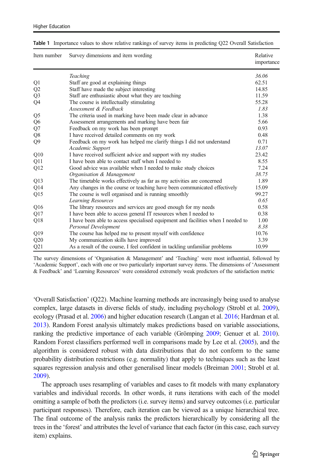| Item number     | Survey dimensions and item wording                                               | Relative<br>importance |
|-----------------|----------------------------------------------------------------------------------|------------------------|
|                 | Teaching                                                                         | 36.06                  |
| Q1              | Staff are good at explaining things                                              | 62.51                  |
| Q2              | Staff have made the subject interesting                                          | 14.85                  |
| Q <sub>3</sub>  | Staff are enthusiastic about what they are teaching                              | 11.59                  |
| Q4              | The course is intellectually stimulating                                         | 55.28                  |
|                 | Assessment & Feedback                                                            | 1.83                   |
| Q <sub>5</sub>  | The criteria used in marking have been made clear in advance                     | 1.38                   |
| Q <sub>6</sub>  | Assessment arrangements and marking have been fair                               | 5.66                   |
| Q7              | Feedback on my work has been prompt                                              | 0.93                   |
| Q8              | I have received detailed comments on my work                                     | 0.48                   |
| Q <sub>9</sub>  | Feedback on my work has helped me clarify things I did not understand            | 0.71                   |
|                 | Academic Support                                                                 | 13.07                  |
| O <sub>10</sub> | I have received sufficient advice and support with my studies                    | 23.42                  |
| O11             | I have been able to contact staff when I needed to                               | 8.55                   |
| Q12             | Good advice was available when I needed to make study choices                    | 7.24                   |
|                 | Organisation & Management                                                        | 38.75                  |
| O13             | The timetable works effectively as far as my activities are concerned            | 1.89                   |
| Q14             | Any changes in the course or teaching have been communicated effectively         | 15.09                  |
| Q15             | The course is well organised and is running smoothly                             | 99.27                  |
|                 | <b>Learning Resources</b>                                                        | 0.65                   |
| Q <sub>16</sub> | The library resources and services are good enough for my needs                  | 0.58                   |
| Q17             | I have been able to access general IT resources when I needed to                 | 0.38                   |
| Q18             | I have been able to access specialised equipment and facilities when I needed to | 1.00                   |
|                 | Personal Development                                                             | 8.38                   |
| Q19             | The course has helped me to present myself with confidence                       | 10.76                  |
| O <sub>20</sub> | My communication skills have improved                                            | 3.39                   |
| Q <sub>21</sub> | As a result of the course, I feel confident in tackling unfamiliar problems      | 10.99                  |

<span id="page-5-0"></span>Table 1 Importance values to show relative rankings of survey items in predicting Q22 Overall Satisfaction

The survey dimensions of 'Organisation & Management' and 'Teaching' were most influential, followed by 'Academic Support', each with one or two particularly important survey items. The dimensions of 'Assessment & Feedback' and 'Learning Resources' were considered extremely weak predictors of the satisfaction metric

'Overall Satisfaction' (Q22). Machine learning methods are increasingly being used to analyse complex, large datasets in diverse fields of study, including psychology (Strobl et al. [2009](#page-15-0)), ecology (Prasad et al. [2006\)](#page-15-0) and higher education research (Langan et al. [2016;](#page-14-0) Hardman et al. [2013](#page-14-0)). Random Forest analysis ultimately makes predictions based on variable associations, ranking the predictive importance of each variable (Grömping [2009](#page-14-0); Genuer et al. [2010](#page-14-0)). Random Forest classifiers performed well in comparisons made by Lee et al. ([2005](#page-14-0)), and the algorithm is considered robust with data distributions that do not conform to the same probability distribution restrictions (e.g. normality) that apply to techniques such as the least squares regression analysis and other generalised linear models (Breiman [2001;](#page-13-0) Strobl et al. [2009](#page-15-0)).

The approach uses resampling of variables and cases to fit models with many explanatory variables and individual records. In other words, it runs iterations with each of the model omitting a sample of both the predictors (i.e. survey items) and survey outcomes (i.e. particular participant responses). Therefore, each iteration can be viewed as a unique hierarchical tree. The final outcome of the analysis ranks the predictors hierarchically by considering all the trees in the 'forest' and attributes the level of variance that each factor (in this case, each survey item) explains.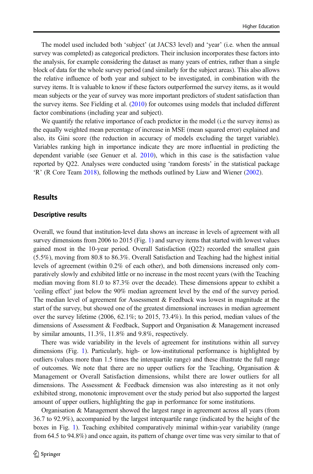The model used included both 'subject' (at JACS3 level) and 'year' (i.e. when the annual survey was completed) as categorical predictors. Their inclusion incorporates these factors into the analysis, for example considering the dataset as many years of entries, rather than a single block of data for the whole survey period (and similarly for the subject areas). This also allows the relative influence of both year and subject to be investigated, in combination with the survey items. It is valuable to know if these factors outperformed the survey items, as it would mean subjects or the year of survey was more important predictors of student satisfaction than the survey items. See Fielding et al. [\(2010\)](#page-14-0) for outcomes using models that included different factor combinations (including year and subject).

We quantify the relative importance of each predictor in the model (i.e the survey items) as the equally weighted mean percentage of increase in MSE (mean squared error) explained and also, its Gini score (the reduction in accuracy of models excluding the target variable). Variables ranking high in importance indicate they are more influential in predicting the dependent variable (see Genuer et al. [2010\)](#page-14-0), which in this case is the satisfaction value reported by Q22. Analyses were conducted using 'random forests' in the statistical package 'R' (R Core Team [2018](#page-15-0)), following the methods outlined by Liaw and Wiener ([2002](#page-14-0)).

# **Results**

#### Descriptive results

Overall, we found that institution-level data shows an increase in levels of agreement with all survey dimensions from 2006 to 2015 (Fig. [1\)](#page-7-0) and survey items that started with lowest values gained most in the 10-year period. Overall Satisfaction (Q22) recorded the smallest gain (5.5%), moving from 80.8 to 86.3%. Overall Satisfaction and Teaching had the highest initial levels of agreement (within 0.2% of each other), and both dimensions increased only comparatively slowly and exhibited little or no increase in the most recent years (with the Teaching median moving from 81.0 to 87.3% over the decade). These dimensions appear to exhibit a 'ceiling effect' just below the 90% median agreement level by the end of the survey period. The median level of agreement for Assessment & Feedback was lowest in magnitude at the start of the survey, but showed one of the greatest dimensional increases in median agreement over the survey lifetime (2006, 62.1%; to 2015, 73.4%). In this period, median values of the dimensions of Assessment & Feedback, Support and Organisation & Management increased by similar amounts, 11.3%, 11.8% and 9.8%, respectively.

There was wide variability in the levels of agreement for institutions within all survey dimensions (Fig. [1](#page-7-0)). Particularly, high- or low-institutional performance is highlighted by outliers (values more than 1.5 times the interquartile range) and these illustrate the full range of outcomes. We note that there are no upper outliers for the Teaching, Organisation & Management or Overall Satisfaction dimensions, whilst there are lower outliers for all dimensions. The Assessment & Feedback dimension was also interesting as it not only exhibited strong, monotonic improvement over the study period but also supported the largest amount of upper outliers, highlighting the gap in performance for some institutions.

Organisation & Management showed the largest range in agreement across all years (from 36.7 to 92.9%), accompanied by the largest interquartile range (indicated by the height of the boxes in Fig. [1\)](#page-7-0). Teaching exhibited comparatively minimal within-year variability (range from 64.5 to 94.8%) and once again, its pattern of change over time was very similar to that of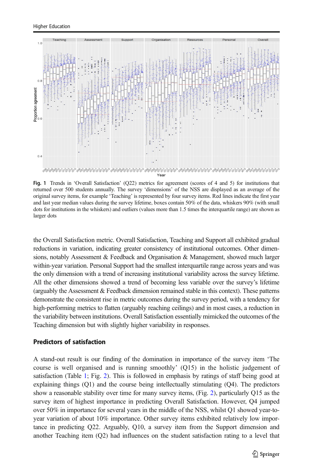<span id="page-7-0"></span>

Fig. 1 Trends in 'Overall Satisfaction' (Q22) metrics for agreement (scores of 4 and 5) for institutions that returned over 500 students annually. The survey 'dimensions' of the NSS are displayed as an average of the original survey items, for example 'Teaching' is represented by four survey items. Red lines indicate the first year and last year median values during the survey lifetime, boxes contain 50% of the data, whiskers 90% (with small dots for institutions in the whiskers) and outliers (values more than 1.5 times the interquartile range) are shown as larger dots

the Overall Satisfaction metric. Overall Satisfaction, Teaching and Support all exhibited gradual reductions in variation, indicating greater consistency of institutional outcomes. Other dimensions, notably Assessment & Feedback and Organisation & Management, showed much larger within-year variation. Personal Support had the smallest interquartile range across years and was the only dimension with a trend of increasing institutional variability across the survey lifetime. All the other dimensions showed a trend of becoming less variable over the survey's lifetime (arguably the Assessment  $&$  Feedback dimension remained stable in this context). These patterns demonstrate the consistent rise in metric outcomes during the survey period, with a tendency for high-performing metrics to flatten (arguably reaching ceilings) and in most cases, a reduction in the variability between institutions. Overall Satisfaction essentially mimicked the outcomes of the Teaching dimension but with slightly higher variability in responses.

# Predictors of satisfaction

A stand-out result is our finding of the domination in importance of the survey item 'The course is well organised and is running smoothly' (Q15) in the holistic judgement of satisfaction (Table [1](#page-5-0); Fig. [2](#page-8-0)). This is followed in emphasis by ratings of staff being good at explaining things (Q1) and the course being intellectually stimulating (Q4). The predictors show a reasonable stability over time for many survey items, (Fig. [2](#page-8-0)), particularly Q15 as the survey item of highest importance in predicting Overall Satisfaction. However, Q4 jumped over 50% in importance for several years in the middle of the NSS, whilst Q1 showed year-toyear variation of about 10% importance. Other survey items exhibited relatively low importance in predicting Q22. Arguably, Q10, a survey item from the Support dimension and another Teaching item (Q2) had influences on the student satisfaction rating to a level that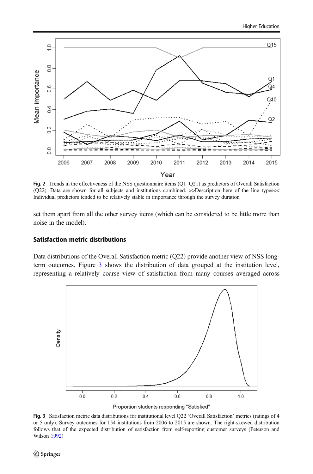<span id="page-8-0"></span>

Fig. 2 Trends in the effectiveness of the NSS questionnaire items (Q1–Q21) as predictors of Overall Satisfaction (Q22). Data are shown for all subjects and institutions combined. >>Description here of the line types<< Individual predictors tended to be relatively stable in importance through the survey duration

set them apart from all the other survey items (which can be considered to be little more than noise in the model).

### Satisfaction metric distributions

Data distributions of the Overall Satisfaction metric (O22) provide another view of NSS longterm outcomes. Figure 3 shows the distribution of data grouped at the institution level, representing a relatively coarse view of satisfaction from many courses averaged across



Fig. 3 Satisfaction metric data distributions for institutional level Q22 'Overall Satisfaction' metrics (ratings of 4 or 5 only). Survey outcomes for 154 institutions from 2006 to 2015 are shown. The right-skewed distribution follows that of the expected distribution of satisfaction from self-reporting customer surveys (Peterson and Wilson [1992\)](#page-15-0)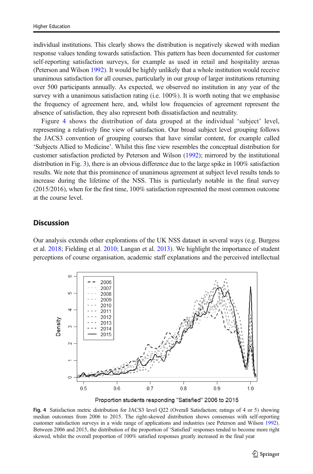individual institutions. This clearly shows the distribution is negatively skewed with median response values tending towards satisfaction. This pattern has been documented for customer self-reporting satisfaction surveys, for example as used in retail and hospitality arenas (Peterson and Wilson [1992\)](#page-15-0). It would be highly unlikely that a whole institution would receive unanimous satisfaction for all courses, particularly in our group of larger institutions returning over 500 participants annually. As expected, we observed no institution in any year of the survey with a unanimous satisfaction rating (i.e. 100%). It is worth noting that we emphasise the frequency of agreement here, and, whilst low frequencies of agreement represent the absence of satisfaction, they also represent both dissatisfaction and neutrality.

Figure 4 shows the distribution of data grouped at the individual 'subject' level, representing a relatively fine view of satisfaction. Our broad subject level grouping follows the JACS3 convention of grouping courses that have similar content, for example called 'Subjects Allied to Medicine'. Whilst this fine view resembles the conceptual distribution for customer satisfaction predicted by Peterson and Wilson ([1992\)](#page-15-0); mirrored by the institutional distribution in Fig. [3](#page-8-0)), there is an obvious difference due to the large spike in 100% satisfaction results. We note that this prominence of unanimous agreement at subject level results tends to increase during the lifetime of the NSS. This is particularly notable in the final survey (2015/2016), when for the first time, 100% satisfaction represented the most common outcome at the course level.

# **Discussion**

Our analysis extends other explorations of the UK NSS dataset in several ways (e.g. Burgess et al. [2018](#page-13-0); Fielding et al. [2010](#page-14-0); Langan et al. [2013](#page-14-0)). We highlight the importance of student perceptions of course organisation, academic staff explanations and the perceived intellectual



Proportion students responding "Satisfied" 2006 to 2015

Fig. 4 Satisfaction metric distribution for JACS3 level Q22 (Overall Satisfaction; ratings of 4 or 5) showing median outcomes from 2006 to 2015. The right-skewed distribution shows consensus with self-reporting customer satisfaction surveys in a wide range of applications and industries (see Peterson and Wilson [1992](#page-15-0)). Between 2006 and 2015, the distribution of the proportion of 'Satisfied' responses tended to become more right skewed, whilst the overall proportion of 100% satisfied responses greatly increased in the final year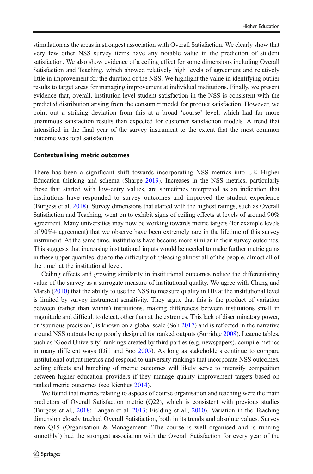stimulation as the areas in strongest association with Overall Satisfaction. We clearly show that very few other NSS survey items have any notable value in the prediction of student satisfaction. We also show evidence of a ceiling effect for some dimensions including Overall Satisfaction and Teaching, which showed relatively high levels of agreement and relatively little in improvement for the duration of the NSS. We highlight the value in identifying outlier results to target areas for managing improvement at individual institutions. Finally, we present evidence that, overall, institution-level student satisfaction in the NSS is consistent with the predicted distribution arising from the consumer model for product satisfaction. However, we point out a striking deviation from this at a broad 'course' level, which had far more unanimous satisfaction results than expected for customer satisfaction models. A trend that intensified in the final year of the survey instrument to the extent that the most common outcome was total satisfaction.

#### Contextualising metric outcomes

There has been a significant shift towards incorporating NSS metrics into UK Higher Education thinking and schema (Sharpe [2019\)](#page-15-0). Increases in the NSS metrics, particularly those that started with low-entry values, are sometimes interpreted as an indication that institutions have responded to survey outcomes and improved the student experience (Burgess et al. [2018\)](#page-13-0). Survey dimensions that started with the highest ratings, such as Overall Satisfaction and Teaching, went on to exhibit signs of ceiling effects at levels of around 90% agreement. Many universities may now be working towards metric targets (for example levels of 90%+ agreement) that we observe have been extremely rare in the lifetime of this survey instrument. At the same time, institutions have become more similar in their survey outcomes. This suggests that increasing institutional inputs would be needed to make further metric gains in these upper quartiles, due to the difficulty of 'pleasing almost all of the people, almost all of the time' at the institutional level.

Ceiling effects and growing similarity in institutional outcomes reduce the differentiating value of the survey as a surrogate measure of institutional quality. We agree with Cheng and Marsh ([2010](#page-13-0)) that the ability to use the NSS to measure quality in HE at the institutional level is limited by survey instrument sensitivity. They argue that this is the product of variation between (rather than within) institutions, making differences between institutions small in magnitude and difficult to detect, other than at the extremes. This lack of discriminatory power, or 'spurious precision', is known on a global scale (Soh [2017](#page-15-0)) and is reflected in the narrative around NSS outputs being poorly designed for ranked outputs (Surridge [2008](#page-15-0)). League tables, such as 'Good University' rankings created by third parties (e.g. newspapers), compile metrics in many different ways (Dill and Soo [2005](#page-13-0)). As long as stakeholders continue to compare institutional output metrics and respond to university rankings that incorporate NSS outcomes, ceiling effects and bunching of metric outcomes will likely serve to intensify competition between higher education providers if they manage quality improvement targets based on ranked metric outcomes (see Rienties [2014](#page-15-0)).

We found that metrics relating to aspects of course organisation and teaching were the main predictors of Overall Satisfaction metric (Q22), which is consistent with previous studies (Burgess et al., [2018](#page-13-0); Langan et al. [2013](#page-14-0); Fielding et al., [2010\)](#page-14-0). Variation in the Teaching dimension closely tracked Overall Satisfaction, both in its trends and absolute values. Survey item Q15 (Organisation & Management; 'The course is well organised and is running smoothly') had the strongest association with the Overall Satisfaction for every year of the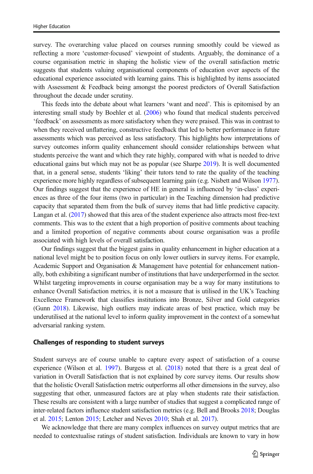survey. The overarching value placed on courses running smoothly could be viewed as reflecting a more 'customer-focused' viewpoint of students. Arguably, the dominance of a course organisation metric in shaping the holistic view of the overall satisfaction metric suggests that students valuing organisational components of education over aspects of the educational experience associated with learning gains. This is highlighted by items associated with Assessment & Feedback being amongst the poorest predictors of Overall Satisfaction throughout the decade under scrutiny.

This feeds into the debate about what learners 'want and need'. This is epitomised by an interesting small study by Boehler et al. [\(2006\)](#page-13-0) who found that medical students perceived 'feedback' on assessments as more satisfactory when they were praised. This was in contrast to when they received unflattering, constructive feedback that led to better performance in future assessments which was perceived as less satisfactory. This highlights how interpretations of survey outcomes inform quality enhancement should consider relationships between what students perceive the want and which they rate highly, compared with what is needed to drive educational gains but which may not be as popular (see Sharpe [2019\)](#page-15-0). It is well documented that, in a general sense, students 'liking' their tutors tend to rate the quality of the teaching experience more highly regardless of subsequent learning gain (e.g. Nisbett and Wilson [1977](#page-15-0)). Our findings suggest that the experience of HE in general is influenced by 'in-class' experiences as three of the four items (two in particular) in the Teaching dimension had predictive capacity that separated them from the bulk of survey items that had little predictive capacity. Langan et al. ([2017](#page-14-0)) showed that this area of the student experience also attracts most free-text comments. This was to the extent that a high proportion of positive comments about teaching and a limited proportion of negative comments about course organisation was a profile associated with high levels of overall satisfaction.

Our findings suggest that the biggest gains in quality enhancement in higher education at a national level might be to position focus on only lower outliers in survey items. For example, Academic Support and Organisation & Management have potential for enhancement nationally, both exhibiting a significant number of institutions that have underperformed in the sector. Whilst targeting improvements in course organisation may be a way for many institutions to enhance Overall Satisfaction metrics, it is not a measure that is utilised in the UK's Teaching Excellence Framework that classifies institutions into Bronze, Silver and Gold categories (Gunn [2018](#page-14-0)). Likewise, high outliers may indicate areas of best practice, which may be underutilised at the national level to inform quality improvement in the context of a somewhat adversarial ranking system.

#### Challenges of responding to student surveys

Student surveys are of course unable to capture every aspect of satisfaction of a course experience (Wilson et al. [1997\)](#page-15-0). Burgess et al. [\(2018\)](#page-13-0) noted that there is a great deal of variation in Overall Satisfaction that is not explained by core survey items. Our results show that the holistic Overall Satisfaction metric outperforms all other dimensions in the survey, also suggesting that other, unmeasured factors are at play when students rate their satisfaction. These results are consistent with a large number of studies that suggest a complicated range of inter-related factors influence student satisfaction metrics (e.g. Bell and Brooks [2018](#page-13-0); Douglas et al. [2015](#page-13-0); Lenton [2015;](#page-14-0) Letcher and Neves [2010](#page-14-0); Shah et al. [2017](#page-15-0)).

We acknowledge that there are many complex influences on survey output metrics that are needed to contextualise ratings of student satisfaction. Individuals are known to vary in how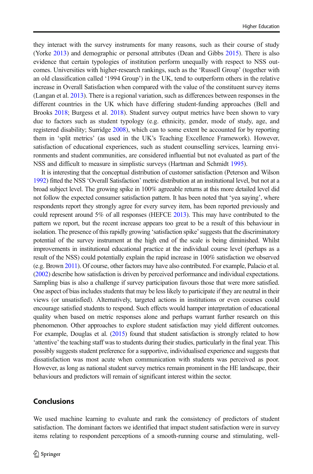they interact with the survey instruments for many reasons, such as their course of study (Yorke [2013\)](#page-15-0) and demographic or personal attributes (Dean and Gibbs [2015\)](#page-13-0). There is also evidence that certain typologies of institution perform unequally with respect to NSS outcomes. Universities with higher-research rankings, such as the 'Russell Group' (together with an old classification called '1994 Group') in the UK, tend to outperform others in the relative increase in Overall Satisfaction when compared with the value of the constituent survey items (Langan et al. [2013](#page-14-0)). There is a regional variation, such as differences between responses in the different countries in the UK which have differing student-funding approaches (Bell and Brooks [2018](#page-13-0); Burgess et al. [2018\)](#page-13-0). Student survey output metrics have been shown to vary due to factors such as student typology (e.g. ethnicity, gender, mode of study, age, and registered disability; Surridge [2008\)](#page-15-0), which can to some extent be accounted for by reporting them in 'split metrics' (as used in the UK's Teaching Excellence Framework). However, satisfaction of educational experiences, such as student counselling services, learning environments and student communities, are considered influential but not evaluated as part of the NSS and difficult to measure in simplistic surveys (Hartman and Schmidt [1995](#page-14-0)).

It is interesting that the conceptual distribution of customer satisfaction (Peterson and Wilson [1992\)](#page-15-0) fitted the NSS 'Overall Satisfaction' metric distribution at an institutional level, but not at a broad subject level. The growing spike in 100% agreeable returns at this more detailed level did not follow the expected consumer satisfaction pattern. It has been noted that 'yea saying', where respondents report they strongly agree for every survey item, has been reported previously and could represent around 5% of all responses (HEFCE [2013\)](#page-14-0). This may have contributed to the pattern we report, but the recent increase appears too great to be a result of this behaviour in isolation. The presence of this rapidly growing 'satisfaction spike'suggests that the discriminatory potential of the survey instrument at the high end of the scale is being diminished. Whilst improvements in institutional educational practice at the individual course level (perhaps as a result of the NSS) could potentially explain the rapid increase in 100% satisfaction we observed (e.g. Brown [2011\)](#page-13-0). Of course, other factors may have also contributed. For example, Palacio et al. ([2002\)](#page-15-0) describe how satisfaction is driven by perceived performance and individual expectations. Sampling bias is also a challenge if survey participation favours those that were more satisfied. One aspect of bias includes students that may be lesslikely to participate if they are neutral in their views (or unsatisfied). Alternatively, targeted actions in institutions or even courses could encourage satisfied students to respond. Such effects would hamper interpretation of educational quality when based on metric responses alone and perhaps warrant further research on this phenomenon. Other approaches to explore student satisfaction may yield different outcomes. For example, Douglas et al. [\(2015\)](#page-13-0) found that student satisfaction is strongly related to how 'attentive' the teaching staff was to students during their studies, particularly in the final year. This possibly suggests student preference for a supportive, individualised experience and suggests that dissatisfaction was most acute when communication with students was perceived as poor. However, as long as national student survey metrics remain prominent in the HE landscape, their behaviours and predictors will remain of significant interest within the sector.

# Conclusions

We used machine learning to evaluate and rank the consistency of predictors of student satisfaction. The dominant factors we identified that impact student satisfaction were in survey items relating to respondent perceptions of a smooth-running course and stimulating, well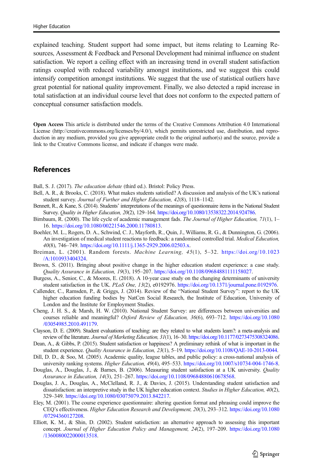<span id="page-13-0"></span>explained teaching. Student support had some impact, but items relating to Learning Resources, Assessment & Feedback and Personal Development had minimal influence on student satisfaction. We report a ceiling effect with an increasing trend in overall student satisfaction ratings coupled with reduced variability amongst institutions, and we suggest this could intensify competition amongst institutions. We suggest that the use of statistical outliers have great potential for national quality improvement. Finally, we also detected a rapid increase in total satisfaction at an individual course level that does not conform to the expected pattern of conceptual consumer satisfaction models.

Open Access This article is distributed under the terms of the Creative Commons Attribution 4.0 International License (http://creativecommons.org/licenses/by/4.0/), which permits unrestricted use, distribution, and reproduction in any medium, provided you give appropriate credit to the original author(s) and the source, provide a link to the Creative Commons license, and indicate if changes were made.

# References

- Ball, S. J. (2017). The education debate (third ed.). Bristol: Policy Press.
- Bell, A. R., & Brooks, C. (2018). What makes students satisfied? A discussion and analysis of the UK's national student survey. Journal of Further and Higher Education, 42(8), 1118–1142.
- Bennett, R., & Kane, S. (2014). Students' interpretations of the meanings of questionnaire items in the National Student Survey. Quality in Higher Education, 20(2), 129–164. <https://doi.org/10.1080/13538322.2014.924786>.
- Birnbaum, R. (2000). The life cycle of academic management fads. The Journal of Higher Education, 71(1), 1– 16. [https://doi.org/10.1080/00221546.2000.11780813.](https://doi.org/10.1080/00221546.2000.11780813)
- Boehler, M. L., Rogers, D. A., Schwind, C. J., Mayforth, R., Quin, J., Williams, R. G., & Dunnington, G. (2006). An investigation of medical student reactions to feedback: a randomised controlled trial. Medical Education, 40(8), 746–749. <https://doi.org/10.1111/j.1365-2929.2006.02503.x>.
- Breiman, L. (2001). Random forests. Machine Learning, 45(1), 5–32. [https://doi.org/10.1023](https://doi.org/10.1023/A:1010933404324) [/A:1010933404324.](https://doi.org/10.1023/A:1010933404324)
- Brown, S. (2011). Bringing about positive change in the higher education student experience: a case study. Quality Assurance in Education, 19(3), 195–207. <https://doi.org/10.1108/09684881111158027>.
- Burgess, A., Senior, C., & Moores, E. (2018). A 10-year case study on the changing determinants of university student satisfaction in the UK. PLoS One, 13(2), e0192976. [https://doi.org/10.1371/journal.pone.0192976.](https://doi.org/10.1371/journal.pone.0192976)
- Callender, C., Ramsden, P., & Griggs, J. (2014). Review of the "National Student Survey": report to the UK higher education funding bodies by NatCen Social Research, the Institute of Education, University of London and the Institute for Employment Studies.
- Cheng, J. H. S., & Marsh, H. W. (2010). National Student Survey: are differences between universities and courses reliable and meaningful? Oxford Review of Education, 36(6), 693–712. [https://doi.org/10.1080](https://doi.org/10.1080/03054985.2010.491179) [/03054985.2010.491179](https://doi.org/10.1080/03054985.2010.491179).
- Clayson, D. E. (2009). Student evaluations of teaching: are they related to what students learn?: a meta-analysis and review of the literature. Journal of Marketing Education, 31(1), 16–30. [https://doi.org/10.1177/0273475308324086.](https://doi.org/10.1177/0273475308324086)
- Dean, A., & Gibbs, P. (2015). Student satisfaction or happiness? A preliminary rethink of what is important in the student experience. Quality Assurance in Education, 23(1), 5–19. <https://doi.org/10.1108/QAE-10-2013-0044>.
- Dill, D. D., & Soo, M. (2005). Academic quality, league tables, and public policy: a cross-national analysis of university ranking systems. Higher Education, 49(4), 495–533. [https://doi.org/10.1007/s10734-004-1746-8.](https://doi.org/10.1007/s10734-004-1746-8)
- Douglas, A., Douglas, J., & Barnes, B. (2006). Measuring student satisfaction at a UK university. Quality Assurance in Education, 14(3), 251–267. <https://doi.org/10.1108/09684880610678568>.
- Douglas, J. A., Douglas, A., McClelland, R. J., & Davies, J. (2015). Understanding student satisfaction and dissatisfaction: an interpretive study in the UK higher education context. Studies in Higher Education, 40(2), 329–349. [https://doi.org/10.1080/03075079.2013.842217.](https://doi.org/10.1080/03075079.2013.842217)
- Eley, M. (2001). The course experience questionnaire: altering question format and phrasing could improve the CEQ's effectiveness. Higher Education Research and Development, 20(3), 293–312. [https://doi.org/10.1080](https://doi.org/10.1080/07294360127208) [/07294360127208](https://doi.org/10.1080/07294360127208).
- Elliott, K. M., & Shin, D. (2002). Student satisfaction: an alternative approach to assessing this important concept. Journal of Higher Education Policy and Management, 24(2), 197–209. [https://doi.org/10.1080](https://doi.org/10.1080/1360080022000013518) [/1360080022000013518](https://doi.org/10.1080/1360080022000013518).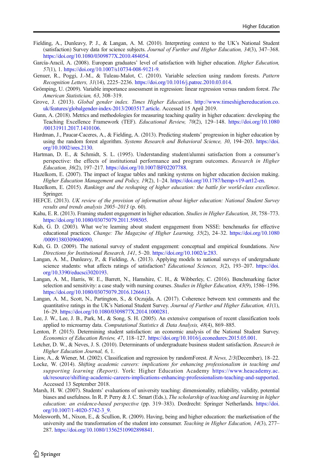- <span id="page-14-0"></span>Fielding, A., Dunleavy, P. J., & Langan, A. M. (2010). Interpreting context to the UK's National Student (satisfaction) Survey data for science subjects. Journal of Further and Higher Education, 34(3), 347–368. <https://doi.org/10.1080/0309877X.2010.484054>.
- García-Aracil, A. (2008). European graduates' level of satisfaction with higher education. *Higher Education*, 57(1), 1. <https://doi.org/10.1007/s10734-008-9121-9>.
- Genuer, R., Poggi, J.-M., & Tuleau-Malot, C. (2010). Variable selection using random forests. Pattern Recognition Letters, 31(14), 2225–2236. <https://doi.org/10.1016/j.patrec.2010.03.014>.
- Grömping, U. (2009). Variable importance assessment in regression: linear regression versus random forest. The American Statistician, 63, 308–319.
- Grove, J. (2013). Global gender index. Times Higher Education. [http://www.timeshighereducation.co.](http://www.timeshighereducation.co.uk/features/globalgender-index-2013/2003517.article) [uk/features/globalgender-index-2013/2003517.article.](http://www.timeshighereducation.co.uk/features/globalgender-index-2013/2003517.article) Accessed 15 April 2019.
- Gunn, A. (2018). Metrics and methodologies for measuring teaching quality in higher education: developing the Teaching Excellence Framework (TEF). Educational Review, 70(2), 129–148. [https://doi.org/10.1080](https://doi.org/10.1080/00131911.2017.1410106) [/00131911.2017.1410106.](https://doi.org/10.1080/00131911.2017.1410106)
- Hardman, J., Paucar-Caceres, A., & Fielding, A. (2013). Predicting students' progression in higher education by using the random forest algorithm. Systems Research and Behavioral Science, 30, 194-203. [https://doi.](https://doi.org/10.1002/sres.2130) [org/10.1002/sres.2130](https://doi.org/10.1002/sres.2130).
- Hartman, D. E., & Schmidt, S. L. (1995). Understanding student/alumni satisfaction from a consumer's perspective: the effects of institutional performance and program outcomes. Research in Higher Education, 36(2), 197–217. <https://doi.org/10.1007/BF02207788>.
- Hazelkorn, E. (2007). The impact of league tables and ranking systems on higher education decision making. Higher Education Management and Policy, 19(2), 1–24. <https://doi.org/10.1787/hemp-v19-art12-en>.
- Hazelkorn, E. (2015). Rankings and the reshaping of higher education: the battle for world-class excellence. Springer.
- HEFCE. (2013). UK review of the provision of information about higher education: National Student Survey results and trends analysis 2005–2013 (p. 60).
- Kahu, E. R. (2013). Framing student engagement in higher education. Studies in Higher Education, 38, 758–773. <https://doi.org/10.1080/03075079.2011.598505>.
- Kuh, G. D. (2003). What we're learning about student engagement from NSSE: benchmarks for effective educational practices. Change: The Magazine of Higher Learning, 35(2), 24–32. [https://doi.org/10.1080](https://doi.org/10.1080/00091380309604090) [/00091380309604090.](https://doi.org/10.1080/00091380309604090)
- Kuh, G. D. (2009). The national survey of student engagement: conceptual and empirical foundations. New Directions for Institutional Research, 141, 5–20. [https://doi.org/10.1002/ir.283.](https://doi.org/10.1002/ir.283)
- Langan, A. M., Dunleavy, P., & Fielding, A. (2013). Applying models to national surveys of undergraduate science students: what affects ratings of satisfaction? Educational Sciences, 3(2), 193-207. [https://doi.](https://doi.org/10.3390/educsci3020193) [org/10.3390/educsci3020193](https://doi.org/10.3390/educsci3020193).
- Langan, A. M., Harris, W. E., Barrett, N., Hamshire, C. H., & Wibberley, C. (2016). Benchmarking factor selection and sensitivity: a case study with nursing courses. *Studies in Higher Education*, 43(9), 1586–1596. <https://doi.org/10.1080/03075079.2016.1266613>.
- Langan, A. M., Scott, N., Partington, S., & Oczujda, A. (2017). Coherence between text comments and the quantitative ratings in the UK's National Student Survey. Journal of Further and Higher Education, 41(1), 16–29. [https://doi.org/10.1080/0309877X.2014.1000281.](https://doi.org/10.1080/0309877X.2014.1000281)
- Lee, J. W., Lee, J. B., Park, M., & Song, S. H. (2005). An extensive comparison of recent classification tools applied to microarray data. Computational Statistics & Data Analysis,  $48(4)$ ,  $869-885$ .
- Lenton, P. (2015). Determining student satisfaction: an economic analysis of the National Student Survey. Economics of Education Review, 47, 118–127. <https://doi.org/10.1016/j.econedurev.2015.05.001>.
- Letcher, D. W., & Neves, J. S. (2010). Determinants of undergraduate business student satisfaction. Research in Higher Education Journal, 6, 1.
- Liaw, A., & Wiener, M. (2002). Classification and regression by randomForest. R News, 2/3(December), 18–22.
- Locke, W. (2014). Shifting academic careers: implications for enhancing professionalism in teaching and supporting learning (Report). York: Higher Education Academy [https://www.heacademy.ac.](https://www.heacademy.ac.uk/resource/shifting-academic-careers-implications-enhancing-professionalism-teaching-and-supported) [uk/resource/shifting-academic-careers-implications-enhancing-professionalism-teaching-and-supported.](https://www.heacademy.ac.uk/resource/shifting-academic-careers-implications-enhancing-professionalism-teaching-and-supported) Accessed 13 September 2018.
- Marsh, H. W. (2007). Students' evaluations of university teaching: dimensionality, reliability, validity, potential biases and usefulness. In R. P. Perry & J. C. Smart (Eds.), The scholarship of teaching and learning in higher education: an evidence-based perspective (pp. 319-383). Dordrecht: Springer Netherlands. [https://doi.](https://doi.org/10.1007/1-4020-5742-3_9) [org/10.1007/1-4020-5742-3\\_9.](https://doi.org/10.1007/1-4020-5742-3_9)
- Molesworth, M., Nixon, E., & Scullion, R. (2009). Having, being and higher education: the marketisation of the university and the transformation of the student into consumer. Teaching in Higher Education, 14(3), 277– 287. [https://doi.org/10.1080/13562510902898841.](https://doi.org/10.1080/13562510902898841)